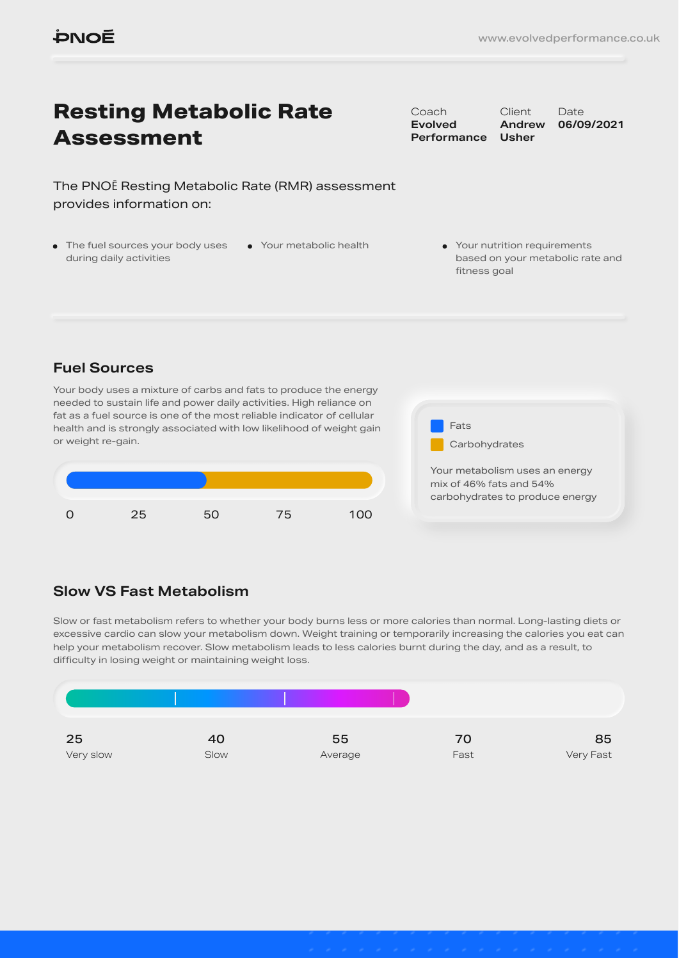# **Resting Metabolic Rate Assessment**

The PNOĒ Resting Metabolic Rate (RMR) assessment provides information on:

• The fuel sources your body uses during daily activities

Coach **Evolved Performance**

**Client Andrew Usher** Date **06/09/2021**

• Your metabolic health • Your nutrition requirements based on your metabolic rate and fitness goal

### **Fuel Sources**

Your body uses a mixture of carbs and fats to produce the energy needed to sustain life and power daily activities. High reliance on fat as a fuel source is one of the most reliable indicator of cellular health and is strongly associated with low likelihood of weight gain or weight re-gain.





carbohydrates to produce energy

### **Slow VS Fast Metabolism**

Slow or fast metabolism refers to whether your body burns less or more calories than normal. Long-lasting diets or excessive cardio can slow your metabolism down. Weight training or temporarily increasing the calories you eat can help your metabolism recover. Slow metabolism leads to less calories burnt during the day, and as a result, to difficulty in losing weight or maintaining weight loss.